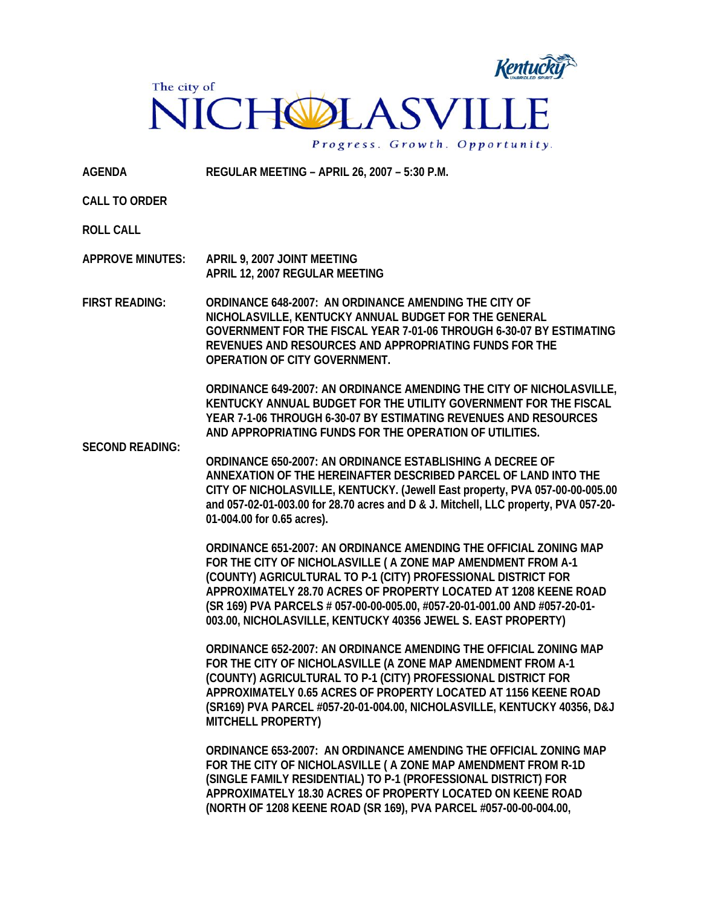

**AGENDA REGULAR MEETING – APRIL 26, 2007 – 5:30 P.M.** 

**CALL TO ORDER** 

**ROLL CALL** 

**APPROVE MINUTES: APRIL 9, 2007 JOINT MEETING APRIL 12, 2007 REGULAR MEETING** 

**FIRST READING: ORDINANCE 648-2007: AN ORDINANCE AMENDING THE CITY OF NICHOLASVILLE, KENTUCKY ANNUAL BUDGET FOR THE GENERAL GOVERNMENT FOR THE FISCAL YEAR 7-01-06 THROUGH 6-30-07 BY ESTIMATING REVENUES AND RESOURCES AND APPROPRIATING FUNDS FOR THE OPERATION OF CITY GOVERNMENT.** 

> **ORDINANCE 649-2007: AN ORDINANCE AMENDING THE CITY OF NICHOLASVILLE, KENTUCKY ANNUAL BUDGET FOR THE UTILITY GOVERNMENT FOR THE FISCAL YEAR 7-1-06 THROUGH 6-30-07 BY ESTIMATING REVENUES AND RESOURCES AND APPROPRIATING FUNDS FOR THE OPERATION OF UTILITIES.**

**SECOND READING:** 

**ORDINANCE 650-2007: AN ORDINANCE ESTABLISHING A DECREE OF ANNEXATION OF THE HEREINAFTER DESCRIBED PARCEL OF LAND INTO THE CITY OF NICHOLASVILLE, KENTUCKY. (Jewell East property, PVA 057-00-00-005.00 and 057-02-01-003.00 for 28.70 acres and D & J. Mitchell, LLC property, PVA 057-20- 01-004.00 for 0.65 acres).** 

**ORDINANCE 651-2007: AN ORDINANCE AMENDING THE OFFICIAL ZONING MAP FOR THE CITY OF NICHOLASVILLE ( A ZONE MAP AMENDMENT FROM A-1 (COUNTY) AGRICULTURAL TO P-1 (CITY) PROFESSIONAL DISTRICT FOR APPROXIMATELY 28.70 ACRES OF PROPERTY LOCATED AT 1208 KEENE ROAD (SR 169) PVA PARCELS # 057-00-00-005.00, #057-20-01-001.00 AND #057-20-01- 003.00, NICHOLASVILLE, KENTUCKY 40356 JEWEL S. EAST PROPERTY)** 

**ORDINANCE 652-2007: AN ORDINANCE AMENDING THE OFFICIAL ZONING MAP FOR THE CITY OF NICHOLASVILLE (A ZONE MAP AMENDMENT FROM A-1 (COUNTY) AGRICULTURAL TO P-1 (CITY) PROFESSIONAL DISTRICT FOR APPROXIMATELY 0.65 ACRES OF PROPERTY LOCATED AT 1156 KEENE ROAD (SR169) PVA PARCEL #057-20-01-004.00, NICHOLASVILLE, KENTUCKY 40356, D&J MITCHELL PROPERTY)** 

**ORDINANCE 653-2007: AN ORDINANCE AMENDING THE OFFICIAL ZONING MAP FOR THE CITY OF NICHOLASVILLE ( A ZONE MAP AMENDMENT FROM R-1D (SINGLE FAMILY RESIDENTIAL) TO P-1 (PROFESSIONAL DISTRICT) FOR APPROXIMATELY 18.30 ACRES OF PROPERTY LOCATED ON KEENE ROAD (NORTH OF 1208 KEENE ROAD (SR 169), PVA PARCEL #057-00-00-004.00,**